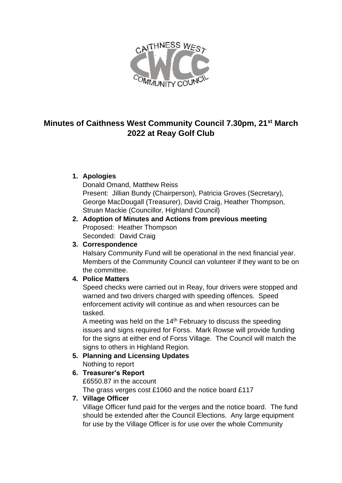

# **Minutes of Caithness West Community Council 7.30pm, 21st March 2022 at Reay Golf Club**

# **1. Apologies**

Donald Omand, Matthew Reiss Present: Jillian Bundy (Chairperson), Patricia Groves (Secretary), George MacDougall (Treasurer), David Craig, Heather Thompson, Struan Mackie (Councillor, Highland Council)

**2. Adoption of Minutes and Actions from previous meeting** Proposed: Heather Thompson Seconded: David Craig

# **3. Correspondence**

Halsary Community Fund will be operational in the next financial year. Members of the Community Council can volunteer if they want to be on the committee.

# **4. Police Matters**

Speed checks were carried out in Reay, four drivers were stopped and warned and two drivers charged with speeding offences. Speed enforcement activity will continue as and when resources can be tasked.

A meeting was held on the  $14<sup>th</sup>$  February to discuss the speeding issues and signs required for Forss. Mark Rowse will provide funding for the signs at either end of Forss Village. The Council will match the signs to others in Highland Region.

# **5. Planning and Licensing Updates** Nothing to report

# **6. Treasurer's Report**

£6550.87 in the account

The grass verges cost £1060 and the notice board £117

# **7. Village Officer**

Village Officer fund paid for the verges and the notice board. The fund should be extended after the Council Elections. Any large equipment for use by the Village Officer is for use over the whole Community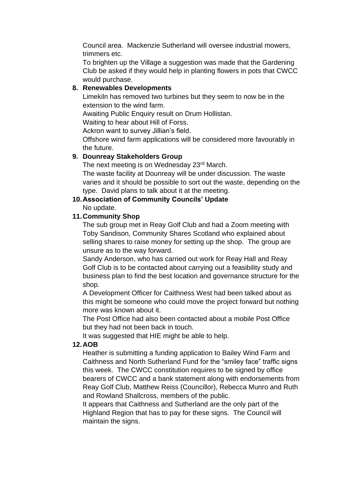Council area. Mackenzie Sutherland will oversee industrial mowers, trimmers etc.

To brighten up the Village a suggestion was made that the Gardening Club be asked if they would help in planting flowers in pots that CWCC would purchase.

## **8. Renewables Developments**

Limekiln has removed two turbines but they seem to now be in the extension to the wind farm.

Awaiting Public Enquiry result on Drum Hollistan.

Waiting to hear about Hill of Forss.

Ackron want to survey Jillian's field.

Offshore wind farm applications will be considered more favourably in the future.

### **9. Dounreay Stakeholders Group**

The next meeting is on Wednesday 23rd March.

The waste facility at Dounreay will be under discussion. The waste varies and it should be possible to sort out the waste, depending on the type. David plans to talk about it at the meeting.

### **10.Association of Community Councils' Update**

No update.

### **11.Community Shop**

The sub group met in Reay Golf Club and had a Zoom meeting with Toby Sandison, Community Shares Scotland who explained about selling shares to raise money for setting up the shop. The group are unsure as to the way forward.

Sandy Anderson, who has carried out work for Reay Hall and Reay Golf Club is to be contacted about carrying out a feasibility study and business plan to find the best location and governance structure for the shop.

A Development Officer for Caithness West had been talked about as this might be someone who could move the project forward but nothing more was known about it.

The Post Office had also been contacted about a mobile Post Office but they had not been back in touch.

It was suggested that HIE might be able to help.

#### **12.AOB**

Heather is submitting a funding application to Bailey Wind Farm and Caithness and North Sutherland Fund for the "smiley face" traffic signs this week. The CWCC constitution requires to be signed by office bearers of CWCC and a bank statement along with endorsements from Reay Golf Club, Matthew Reiss (Councillor), Rebecca Munro and Ruth and Rowland Shallcross, members of the public.

It appears that Caithness and Sutherland are the only part of the Highland Region that has to pay for these signs. The Council will maintain the signs.